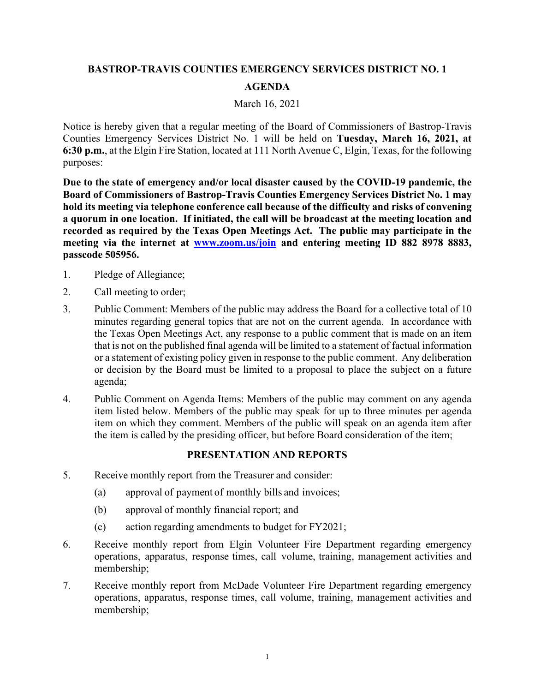## BASTROP-TRAVIS COUNTIES EMERGENCY SERVICES DISTRICT NO. 1 AGENDA

## March 16, 2021

Notice is hereby given that a regular meeting of the Board of Commissioners of Bastrop-Travis Counties Emergency Services District No. 1 will be held on Tuesday, March 16, 2021, at BASTROP-TRAVIS COUNTIES EMERGENCY SERVICES DISTRICT NO. 1<br>
AGENDA<br>
March 16, 2021<br>
Notice is hereby given that a regular meeting of the Board of Commissioners of Bastrop-Travis<br>
Counties Emergency Services District No. 1 w purposes:

Due to the state of emergency and/or local disaster caused by the COVID-19 pandemic, the Board of Commissioners of Bastrop-Travis Counties Emergency Services District No. 1 may hold its meeting via telephone conference call because of the difficulty and risks of convening a quorum in one location. If initiated, the call will be broadcast at the meeting location and recorded as required by the Texas Open Meetings Act. The public may participate in the meeting via the internet at www.zoom.us/join and entering meeting ID 882 8978 8883, passcode 505956. **BASTROP-TRAVIS COUNTIES EMERGENCY SERVICES DISTURNATE CONTRIMED ART AND MATCH AND MATCH AND MATCH MORE NOT A MATCH MORE SURVEY SURVEY SURVEY SURVEY SURVEY SURVEY SURVEY SURVEY SURVEY SURVEY SURVEY SURVEY SURVEY SURVEY SUR BASTROP-TRAVIS COUNTIES EMERGENCY SERVICES DISTRICT NO. 1**<br> **AGENDA**<br>
March 16, 2021<br>
March 16, 2021<br>
Notice is hereby given that a regular meeting of the Board of Commissioners of Bastrop-Counties Emergency Services Dis Macch 16, 2021<br>
Macch 16, 2021<br>
Macch 16, 2021<br>
Counties Emergency Services District No. 1 will be held on Tuesday, March 16, 2021, at<br>
6:30 p.m., at the Elgin Fire Station, located at 111 North Avenue C, Elgin, Texas, for

- 
- 
- minutes regarding general topics that are not on the current agenda. In accordance with the Texas Open Meetings Act, any response to a public comment that is made on an item that is not on the published final agenda will be limited to a statement of factual information or a statement of existing policy given in response to the public comment. Any deliberation or decision by the Board must be limited to a proposal to place the subject on a future agenda; Due to the state of emergency and/or local disaster caused by the COVID-19 pandemic, the<br>
Board of Commissioners of Bastrop-Travis Counties Emergency Services District No. I may<br>
hold its meeting vai telephone conference **Example 19956.**<br>
2. Call meeting to order;<br>
2. Call meeting to order;<br>
2. Call meeting to order;<br>
2. Public Comment: Members of the public may address the Board for a collective total of 10<br>
1. The Treasurer Considered Ma Pledge of Allegiance;<br>
Call meeting to order;<br>
Public Comment: Members of the public may address the Board for a collective total of 10<br>
minutes regarding general topics that are not on the current agenda. In accordance wi Call meeting to order;<br>
Public Comment: Members of the public may address the Board for a collective total of 10<br>
minutes regarding general topics that are not on the current agenda. In accordance with<br>
minutes regarding g Public Comment: Members of the public may address the Board for a collective minutes regarding general topics that are not on the current agenda. In according Act, any response to a public comment that is motor the publish minutes regarding enerated topics that are not on the current agenda. In accordance with<br>the Croas Open Mectings Act, any response to a public comment that is made on an item<br>that is not on the published final agenda will the Texas Open Mectings Act, any response to a public comment that is made on an item<br>that is not on the published final agenda will be limited to a statement of factual information<br>or a statement of existing policy given
- item listed below. Members of the public may speak for up to three minutes per agenda item on which they comment. Members of the public will speak on an agenda item after the item is called by the presiding officer, but before Board consideration of the item; or a sactement or example providents to happen the proposal to place the subject on a future<br>or decision by the Board must be limited to a proposal to place the subject on a future<br>agenda;<br>A the definition of Agenda Items:

## PRESENTATION AND REPORTS

- -
	-
	-
- membership;
- operations, apparatus, response times, call volume, training, management activities and membership;